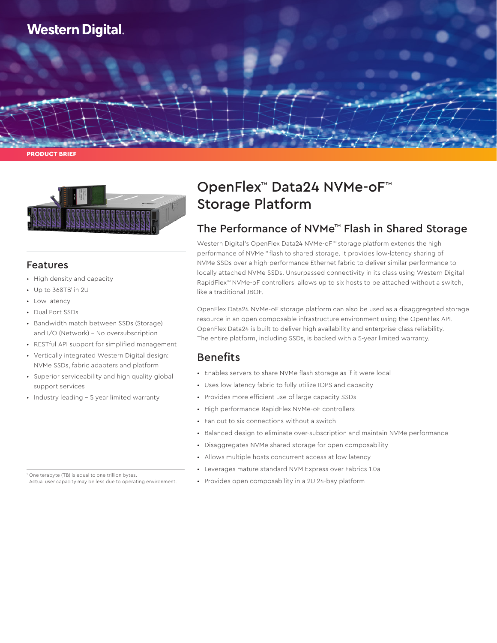

PRODUCT BRIEF



### Features

- High density and capacity
- $\cdot$  Up to 368TB' in 2U
- Low latency
- Dual Port SSDs
- Bandwidth match between SSDs (Storage) and I/O (Network) – No oversubscription
- RESTful API support for simplified management
- Vertically integrated Western Digital design: NVMe SSDs, fabric adapters and platform
- Superior serviceability and high quality global support services
- Industry leading 5 year limited warranty

<sup>1</sup> One terabyte (TB) is equal to one trillion bytes. Actual user capacity may be less due to operating environment.

# OpenFlex™ Data24 NVMe-oF™ Storage Platform

### The Performance of NVMe™ Flash in Shared Storage

Western Digital's OpenFlex Data24 NVMe-oF<sup>™</sup> storage platform extends the high performance of NVMe™ flash to shared storage. It provides low-latency sharing of NVMe SSDs over a high-performance Ethernet fabric to deliver similar performance to locally attached NVMe SSDs. Unsurpassed connectivity in its class using Western Digital RapidFlex<sup>™</sup> NVMe-oF controllers, allows up to six hosts to be attached without a switch, like a traditional JBOF.

OpenFlex Data24 NVMe-oF storage platform can also be used as a disaggregated storage resource in an open composable infrastructure environment using the OpenFlex API. OpenFlex Data24 is built to deliver high availability and enterprise-class reliability. The entire platform, including SSDs, is backed with a 5-year limited warranty.

### Benefits

- Enables servers to share NVMe flash storage as if it were local
- Uses low latency fabric to fully utilize IOPS and capacity
- Provides more efficient use of large capacity SSDs
- High performance RapidFlex NVMe-oF controllers
- Fan out to six connections without a switch
- Balanced design to eliminate over-subscription and maintain NVMe performance
- Disaggregates NVMe shared storage for open composability
- Allows multiple hosts concurrent access at low latency
- Leverages mature standard NVM Express over Fabrics 1.0a
- Provides open composability in a 2U 24-bay platform